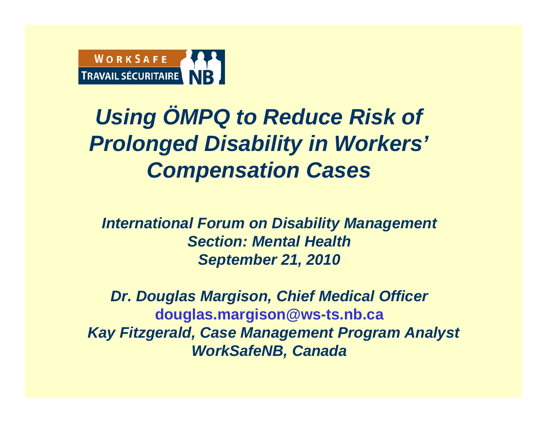

#### *Using ÖMPQ to Reduce Risk of Prolonged Disability in Workers' Compensation Cases*

*International Forum on Disability Management Section: Mental HealthSeptember 21, 2010*

*Dr. Douglas Margison, Chief Medical Officer* **douglas.margison@ws-ts.nb.ca** *Kay Fitzgerald, Case Management Program Analyst WorkSafeNB, Canada*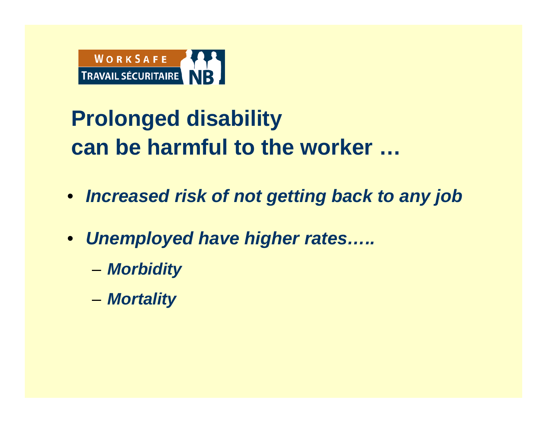

### **Prolonged disability can be harmful to the worker …**

- *Increased risk of not getting back to any job*
- *Unemployed have higher rates…..* 
	- –*Morbidity*
	- *Mortality*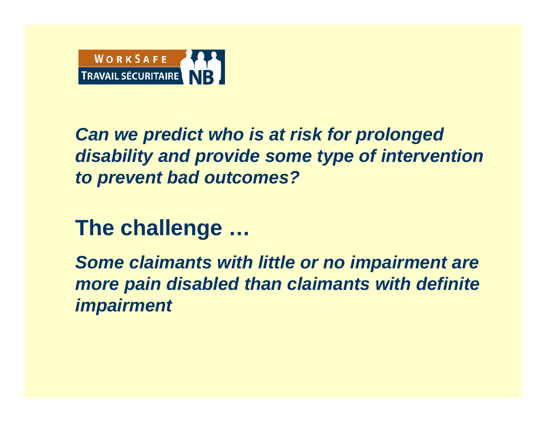

*Can we predict who is at risk for prolonged disability and provide some type of intervention to prevent bad outcomes?*

#### **The challenge …**

*Some claimants with little or no impairment are more pain disabled than claimants with definite impairment*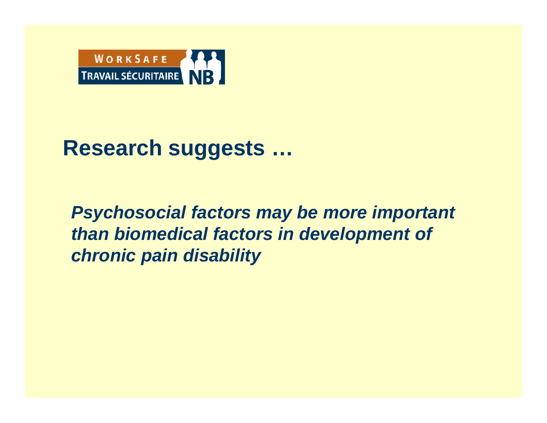

#### **Research suggests …**

*Psychosocial factors may be more important than biomedical factors in development of chronic pain disability*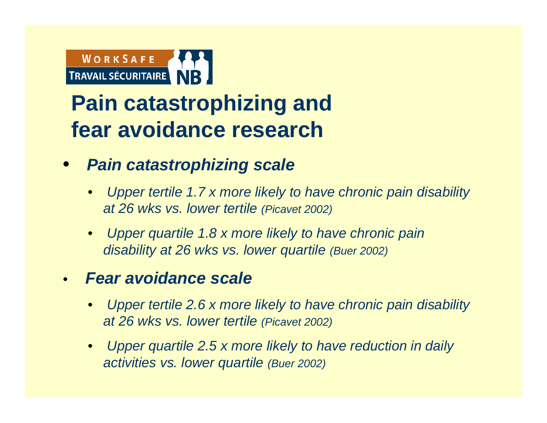

#### **Pain catastrophizing and fear avoidance research**

- $\bullet$  *Pain catastrophizing scale* 
	- • *Upper tertile 1.7 x more likely to have chronic pain disability at 26 wks vs. lower tertile (Picavet 2002)*
	- • *Upper quartile 1.8 x more likely to have chronic pain disability at 26 wks vs. lower quartile (Buer 2002)*

#### •*Fear avoidance scale*

- • *Upper tertile 2.6 x more likely to have chronic pain disability at 26 wks vs. lower tertile (Picavet 2002)*
- • *Upper quartile 2.5 x more likely to have reduction in daily activities vs. lower quartile (Buer 2002)*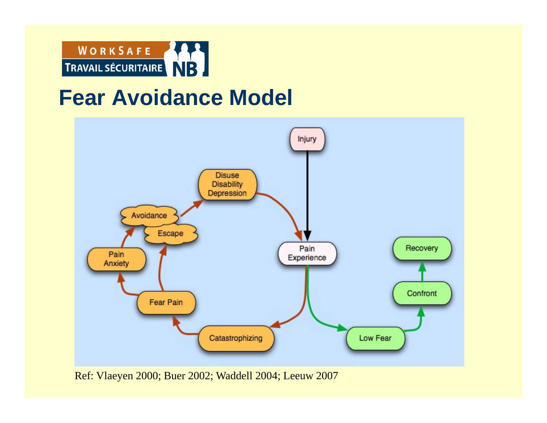

#### **Fear Avoidance Model**



Ref: Vlaeyen 2000; Buer 2002; Waddell 2004; Leeuw 2007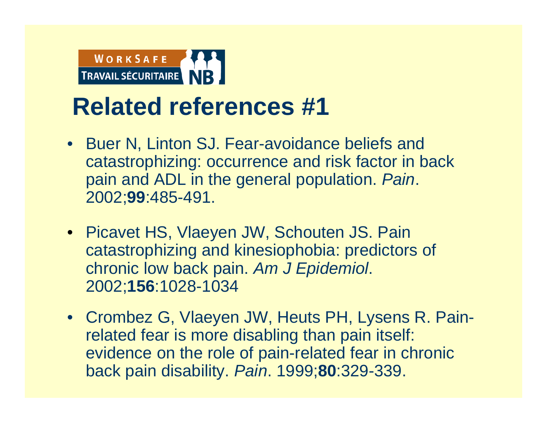

- Buer N, Linton SJ. Fear-avoidance beliefs and catastrophizing: occurrence and risk factor in back pain and ADL in the general population. *Pain*. 2002;**99**:485-491.
- Picavet HS, Vlaeyen JW, Schouten JS. Pain catastrophizing and kinesiophobia: predictors of chronic low back pain. *Am J Epidemiol*. 2002;**156**:1028-1034
- Crombez G, Vlaeyen JW, Heuts PH, Lysens R. Painrelated fear is more disabling than pain itself: evidence on the role of pain-related fear in chronic back pain disability. *Pain*. 1999;**80**:329-339.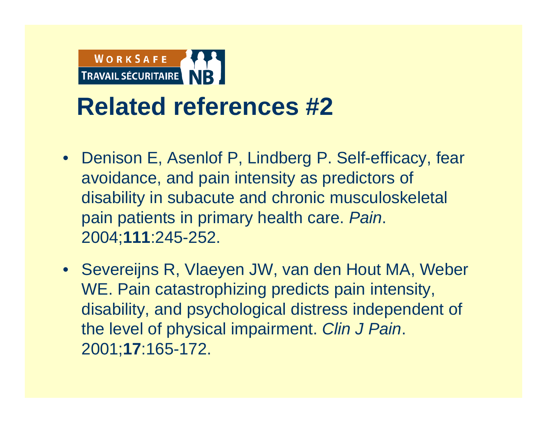

- Denison E, Asenlof P, Lindberg P. Self-efficacy, fear avoidance, and pain intensity as predictors of disability in subacute and chronic musculoskeletal pain patients in primary health care. *Pain*. 2004;**111**:245-252.
- Severeijns R, Vlaeyen JW, van den Hout MA, Weber WE. Pain catastrophizing predicts pain intensity, disability, and psychological distress independent of the level of physical impairment. *Clin J Pain*. 2001;**17**:165-172.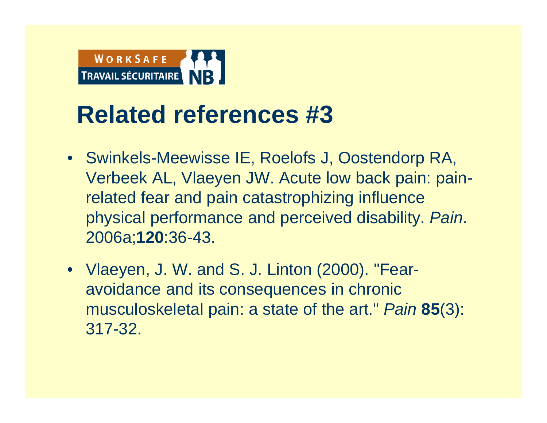

- Swinkels-Meewisse IE, Roelofs J, Oostendorp RA, Verbeek AL, Vlaeyen JW. Acute low back pain: painrelated fear and pain catastrophizing influence physical performance and perceived disability. *Pain*. 2006a;**120**:36-43.
- Vlaeyen, J. W. and S. J. Linton (2000). "Fearavoidance and its consequences in chronic musculoskeletal pain: a state of the art." *Pain* **85**(3): 317-32.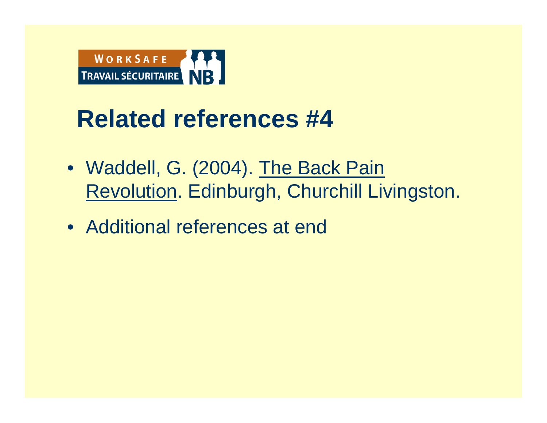

- Waddell, G. (2004). The Back Pain Revolution. Edinburgh, Churchill Livingston.
- Additional references at end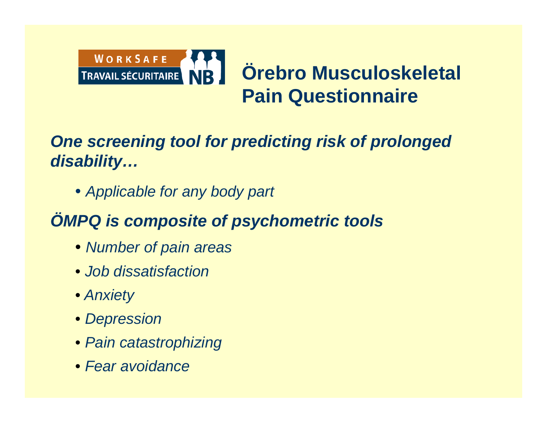

#### *One screening tool for predicting risk of prolonged disability…*

• *Applicable for any body part*

#### *ÖMPQ is composite of psychometric tools*

- *Number of pain areas*
- *Job dissatisfaction*
- *Anxiety*
- *Depression*
- *Pain catastrophizing*
- *Fear avoidance*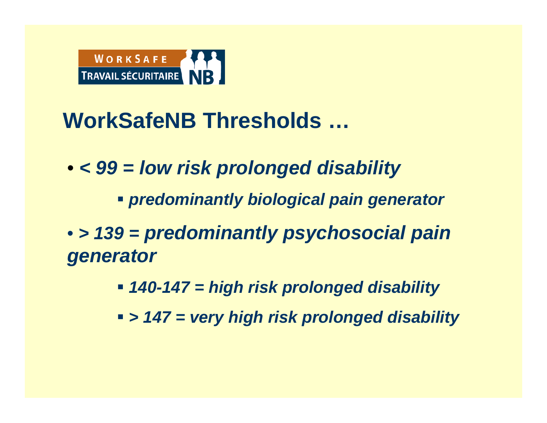

#### **WorkSafeNB Thresholds …**

- *< 99 = low risk prolonged disability*
	- *predominantly biological pain generator*
- *> 139 = predominantly psychosocial pain generator*
	- *140-147 = high risk prolonged disability*
	- *> 147 = very high risk prolonged disability*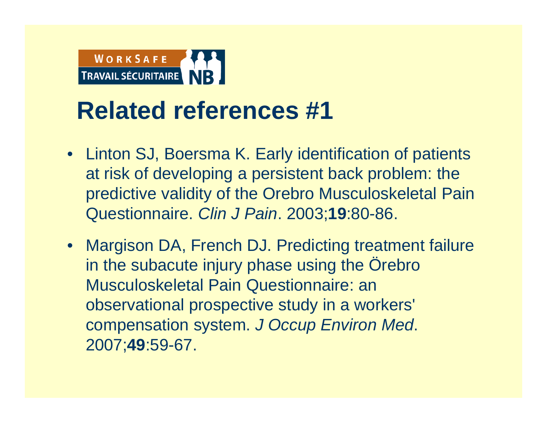

- Linton SJ, Boersma K. Early identification of patients at risk of developing a persistent back problem: the predictive validity of the Orebro Musculoskeletal Pain Questionnaire. *Clin J Pain*. 2003;**19**:80-86.
- Margison DA, French DJ. Predicting treatment failure in the subacute injury phase using the Örebro Musculoskeletal Pain Questionnaire: an observational prospective study in a workers' compensation system. *J Occup Environ Med*. 2007;**49**:59-67.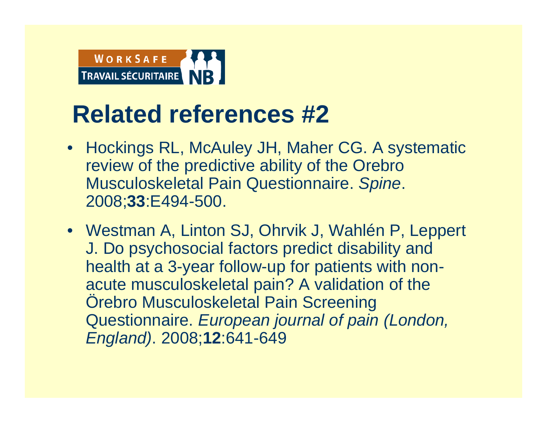

- Hockings RL, McAuley JH, Maher CG. A systematic review of the predictive ability of the Orebro Musculoskeletal Pain Questionnaire. *Spine*. 2008;**33**:E494-500.
- Westman A, Linton SJ, Ohrvik J, Wahlén P, Leppert J. Do psychosocial factors predict disability and health at a 3-year follow-up for patients with nonacute musculoskeletal pain? A validation of the Örebro Musculoskeletal Pain Screening Questionnaire. *European journal of pain (London, England)*. 2008;**12**:641-649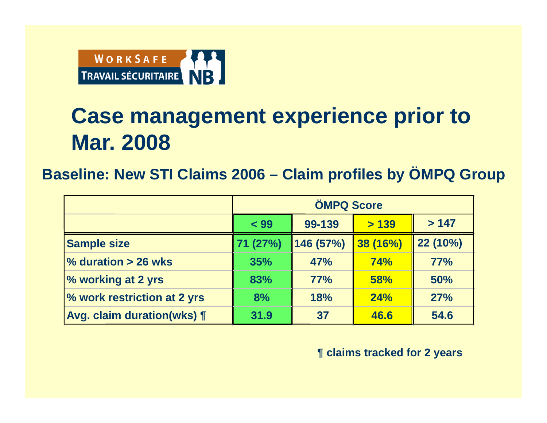

#### **Case management experience prior to Mar. 2008**

**Baseline: New STI Claims 2006 – Claim profiles by ÖMPQ Group**

|                                   | <b>ÖMPQ Score</b> |            |            |            |  |
|-----------------------------------|-------------------|------------|------------|------------|--|
|                                   | < 99              | 99-139     | >139       | >147       |  |
| <b>Sample size</b>                | 71 (27%)          | 146 (57%)  | 38 (16%)   | 22 (10%)   |  |
| $\%$ duration > 26 wks            | 35%               | <b>47%</b> | <b>74%</b> | 77%        |  |
| % working at 2 yrs                | 83%               | 77%        | <b>58%</b> | 50%        |  |
| % work restriction at 2 yrs       | 8%                | 18%        | 24%        | <b>27%</b> |  |
| <b>Avg. claim duration(wks) [</b> | 31.9              | 37         | 46.6       | 54.6       |  |

**¶ claims tracked for 2 years**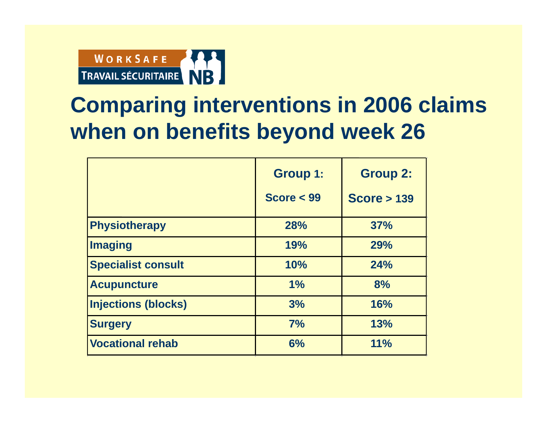

#### **Comparing interventions in 2006 claims when on benefits beyond week 26**

|                            | <b>Group 1:</b><br>Score $<$ 99 | <b>Group 2:</b><br><b>Score &gt; 139</b> |
|----------------------------|---------------------------------|------------------------------------------|
| <b>Physiotherapy</b>       | 28%                             | <b>37%</b>                               |
| <b>Imaging</b>             | 19%                             | 29%                                      |
| <b>Specialist consult</b>  | 10%                             | 24%                                      |
| <b>Acupuncture</b>         | 1%                              | 8%                                       |
| <b>Injections (blocks)</b> | 3%                              | 16%                                      |
| <b>Surgery</b>             | 7%                              | 13%                                      |
| <b>Vocational rehab</b>    | 6%                              | 11%                                      |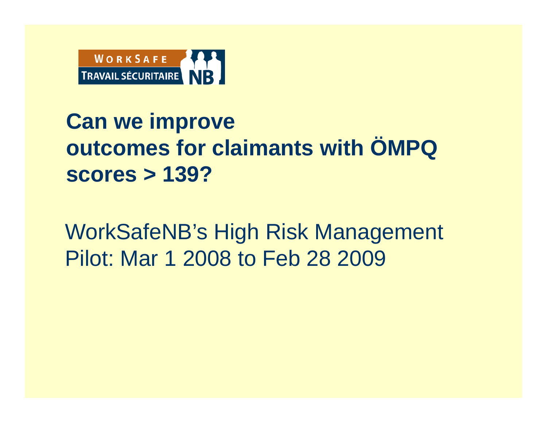

#### **Can we improve outcomes for claimants with ÖMPQ scores > 139?**

WorkSafeNB's High Risk Management Pilot: Mar 1 2008 to Feb 28 2009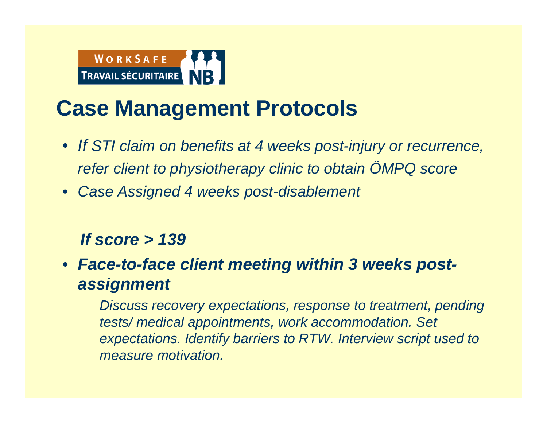

#### **Case Management Protocols**

- *If STI claim on benefits at 4 weeks post-injury or recurrence, refer client to physiotherapy clinic to obtain ÖMPQ score*
- *Case Assigned 4 weeks post-disablement*

#### *If score > 139*

• *Face-to-face client meeting within 3 weeks postassignment*

*Discuss recovery expectations, response to treatment, pending tests/ medical appointments, work accommodation. Set expectations. Identify barriers to RTW. Interview script used to measure motivation.*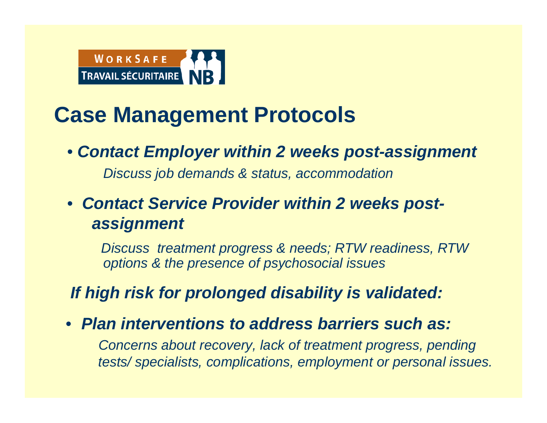

#### **Case Management Protocols**

• *Contact Employer within 2 weeks post-assignment*

*Discuss job demands & status, accommodation*

• *Contact Service Provider within 2 weeks postassignment*

*Discuss treatment progress & needs; RTW readiness, RTW options & the presence of psychosocial issues*

*If high risk for prolonged disability is validated:*

• *Plan interventions to address barriers such as:*

*Concerns about recovery, lack of treatment progress, pending tests/ specialists, complications, employment or personal issues.*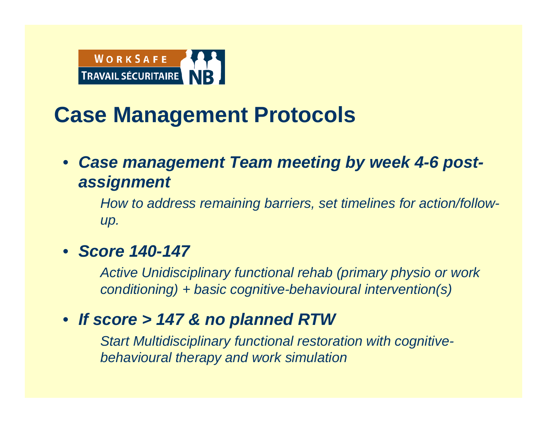

#### **Case Management Protocols**

#### • *Case management Team meeting by week 4-6 postassignment*

*How to address remaining barriers, set timelines for action/followup.*

#### • *Score 140-147*

*Active Unidisciplinary functional rehab (primary physio or work conditioning) + basic cognitive-behavioural intervention(s)*

#### • *If score > 147 & no planned RTW*

*Start Multidisciplinary functional restoration with cognitivebehavioural therapy and work simulation*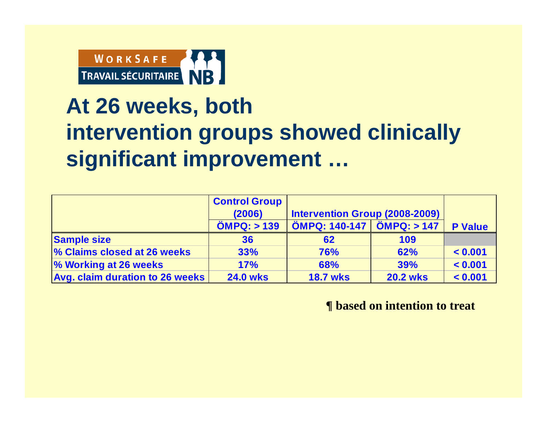

#### **At 26 weeks, both intervention groups showed clinically significant improvement …**

|                                 | <b>Control Group</b><br>(2006) | Intervention Group (2008-2009)                |                 |                |
|---------------------------------|--------------------------------|-----------------------------------------------|-----------------|----------------|
|                                 | $\ddot{O}$ MPQ: $> 139$        | $\ddot{O}$ MPQ: 140-147 $\ddot{O}$ MPQ: > 147 |                 | <b>P</b> Value |
| <b>Sample size</b>              | 36                             | 62                                            | 109             |                |
| % Claims closed at 26 weeks     | 33%                            | 76%                                           | 62%             | < 0.001        |
| % Working at 26 weeks           | 17%                            | 68%                                           | <b>39%</b>      | < 0.001        |
| Avg. claim duration to 26 weeks | <b>24.0 wks</b>                | <b>18.7 wks</b>                               | <b>20.2 wks</b> | < 0.001        |

**¶ based on intention to treat**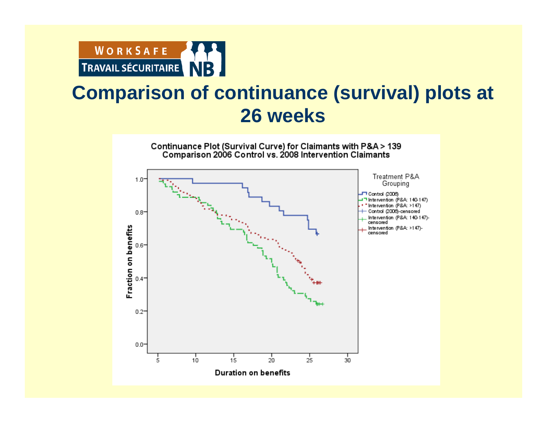

# **COMPART COMPART COMPART COMPART COMPART COMPART COMPART CONTINUANCE (SURVIVAL) plots at 26 weeks**

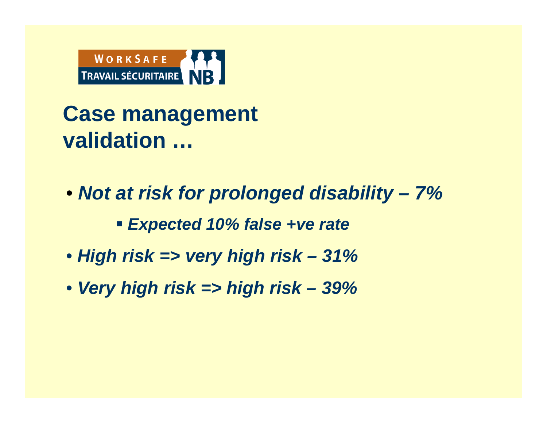

**Case management validation …**

- *Not at risk for prolonged disability – 7%* 
	- *Expected 10% false +ve rate*
- *High risk => very high risk – 31%*
- *Very high risk => high risk – 39%*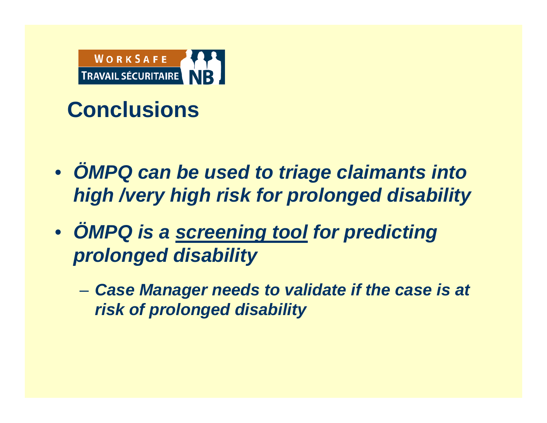

#### **Conclusions**

- $\bullet$  *ÖMPQ can be used to triage claimants into high /very high risk for prolonged disability*
- $\bullet$  *ÖMPQ is a screening tool for predicting prolonged disability* 
	- $\mathcal{L}_{\mathcal{A}}$  *Case Manager needs to validate if the case is at risk of prolonged disability*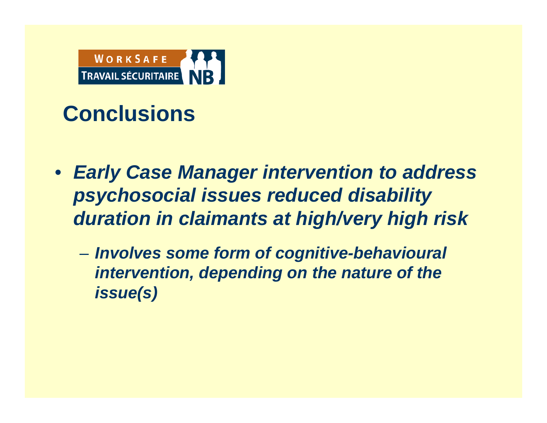

#### **Conclusions**

- *Early Case Manager intervention to address psychosocial issues reduced disability duration in claimants at high/very high risk*
	- $\mathcal{L}_{\mathcal{A}}$  *Involves some form of cognitive-behavioural intervention, depending on the nature of the issue(s)*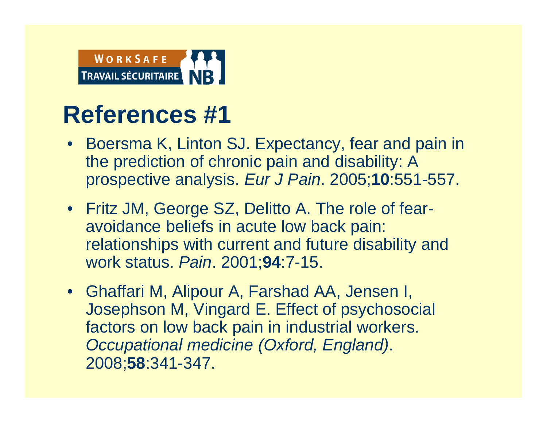

- Boersma K, Linton SJ. Expectancy, fear and pain in the prediction of chronic pain and disability: A prospective analysis. *Eur J Pain*. 2005;**10**:551-557.
- Fritz JM, George SZ, Delitto A. The role of fearavoidance beliefs in acute low back pain: relationships with current and future disability and work status. *Pain*. 2001;**94**:7-15.
- Ghaffari M, Alipour A, Farshad AA, Jensen I, Josephson M, Vingard E. Effect of psychosocial factors on low back pain in industrial workers. *Occupational medicine (Oxford, England)*. 2008;**58**:341-347.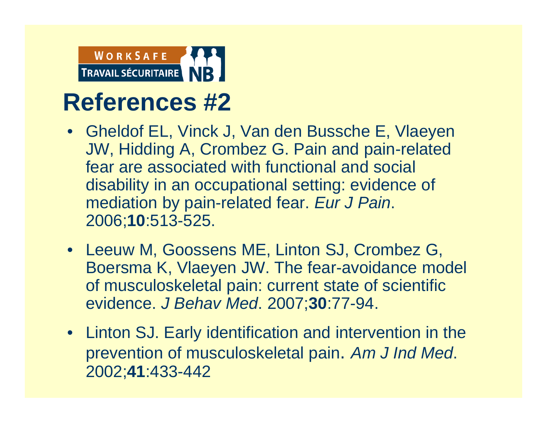

- Gheldof EL, Vinck J, Van den Bussche E, Vlaeyen JW, Hidding A, Crombez G. Pain and pain-related fear are associated with functional and social disability in an occupational setting: evidence of mediation by pain-related fear. *Eur J Pain*. 2006;**10**:513-525.
- Leeuw M, Goossens ME, Linton SJ, Crombez G, Boersma K, Vlaeyen JW. The fear-avoidance model of musculoskeletal pain: current state of scientific evidence. *J Behav Med*. 2007;**30**:77-94.
- Linton SJ. Early identification and intervention in the prevention of musculoskeletal pain. *Am J Ind Med*. 2002;**41**:433-442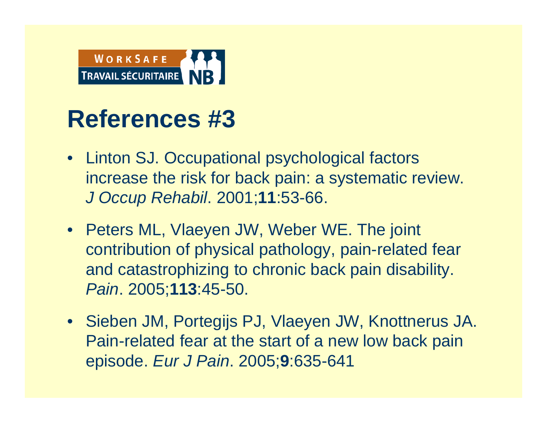

- Linton SJ. Occupational psychological factors increase the risk for back pain: a systematic review. *J Occup Rehabil*. 2001;**11**:53-66.
- Peters ML, Vlaeyen JW, Weber WE. The joint contribution of physical pathology, pain-related fear and catastrophizing to chronic back pain disability. *Pain*. 2005;**113**:45-50.
- Sieben JM, Portegijs PJ, Vlaeyen JW, Knottnerus JA. Pain-related fear at the start of a new low back pain episode. *Eur J Pain*. 2005;**9**:635-641